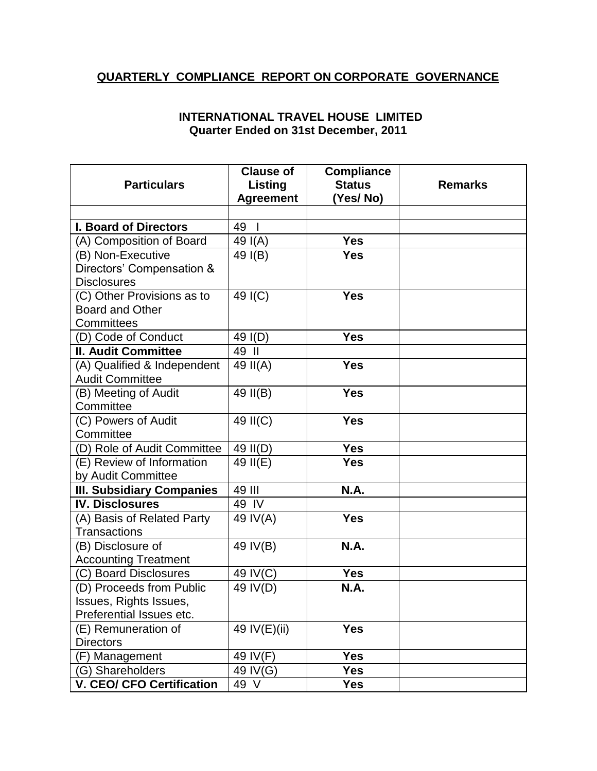## **QUARTERLY COMPLIANCE REPORT ON CORPORATE GOVERNANCE**

## **INTERNATIONAL TRAVEL HOUSE LIMITED Quarter Ended on 31st December, 2011**

|                                  | <b>Clause of</b>   | <b>Compliance</b> |                |
|----------------------------------|--------------------|-------------------|----------------|
| <b>Particulars</b>               | Listing            | <b>Status</b>     | <b>Remarks</b> |
|                                  | <b>Agreement</b>   | (Yes/No)          |                |
|                                  |                    |                   |                |
| <b>I. Board of Directors</b>     | 49<br>$\mathbf{I}$ |                   |                |
| (A) Composition of Board         | 49 $I(A)$          | <b>Yes</b>        |                |
| (B) Non-Executive                | 49 I(B)            | <b>Yes</b>        |                |
| Directors' Compensation &        |                    |                   |                |
| <b>Disclosures</b>               |                    |                   |                |
| (C) Other Provisions as to       | 49 I(C)            | <b>Yes</b>        |                |
| <b>Board and Other</b>           |                    |                   |                |
| Committees                       |                    |                   |                |
| (D) Code of Conduct              | 49 I(D)            | <b>Yes</b>        |                |
| <b>II. Audit Committee</b>       | 49 II              |                   |                |
| (A) Qualified & Independent      | 49 II(A)           | <b>Yes</b>        |                |
| <b>Audit Committee</b>           |                    |                   |                |
| (B) Meeting of Audit             | 49 II(B)           | <b>Yes</b>        |                |
| Committee                        |                    |                   |                |
| (C) Powers of Audit              | 49 II(C)           | <b>Yes</b>        |                |
| Committee                        |                    |                   |                |
| (D) Role of Audit Committee      | 49 II(D)           | <b>Yes</b>        |                |
| (E) Review of Information        | 49 $II(E)$         | <b>Yes</b>        |                |
| by Audit Committee               |                    |                   |                |
| <b>III. Subsidiary Companies</b> | 49 III             | <b>N.A.</b>       |                |
| <b>IV. Disclosures</b>           | 49 IV              |                   |                |
| (A) Basis of Related Party       | 49 IV(A)           | <b>Yes</b>        |                |
| <b>Transactions</b>              |                    |                   |                |
| (B) Disclosure of                | 49 IV(B)           | <b>N.A.</b>       |                |
| <b>Accounting Treatment</b>      |                    |                   |                |
| (C) Board Disclosures            | 49 IV(C)           | <b>Yes</b>        |                |
| (D) Proceeds from Public         | 49 IV(D)           | <b>N.A.</b>       |                |
| Issues, Rights Issues,           |                    |                   |                |
| Preferential Issues etc.         |                    |                   |                |
| (E) Remuneration of              | 49 IV(E)(ii)       | <b>Yes</b>        |                |
| <b>Directors</b>                 |                    |                   |                |
| (F) Management                   | 49 IV(F)           | <b>Yes</b>        |                |
| (G) Shareholders                 | 49 IV(G)           | <b>Yes</b>        |                |
| <b>V. CEO/ CFO Certification</b> | 49 V               | Yes               |                |